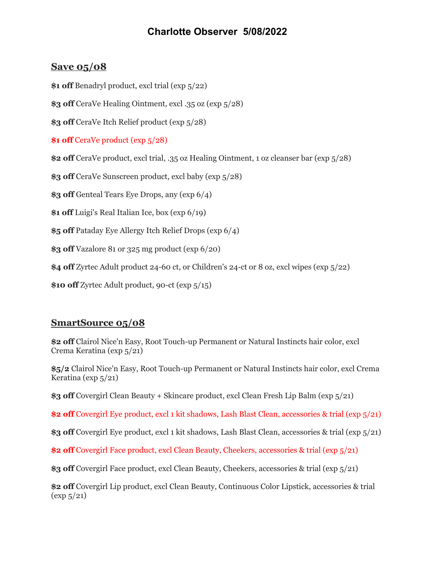## **Charlotte Observer 5/08/2022**

## **Save 05/08**

**\$1 off** Benadryl product, excl trial (exp 5/22)

**\$3 off** CeraVe Healing Ointment, excl .35 oz (exp 5/28)

**\$3 off** CeraVe Itch Relief product (exp 5/28)

**\$1 off** CeraVe product (exp 5/28)

**\$2 off** CeraVe product, excl trial, .35 oz Healing Ointment, 1 oz cleanser bar (exp 5/28)

**\$3 off** CeraVe Sunscreen product, excl baby (exp 5/28)

**\$3 off** Genteal Tears Eye Drops, any (exp 6/4)

**\$1 off** Luigi's Real Italian Ice, box (exp 6/19)

**\$5 off** Pataday Eye Allergy Itch Relief Drops (exp 6/4)

**\$3 off** Vazalore 81 or 325 mg product (exp 6/20)

**\$4 off** Zyrtec Adult product 24-60 ct, or Children's 24-ct or 8 oz, excl wipes (exp 5/22)

**\$10 off** Zyrtec Adult product, 90-ct (exp 5/15)

## **SmartSource 05/08**

**\$2 off** Clairol Nice'n Easy, Root Touch-up Permanent or Natural Instincts hair color, excl Crema Keratina (exp 5/21)

**\$5/2** Clairol Nice'n Easy, Root Touch-up Permanent or Natural Instincts hair color, excl Crema Keratina (exp 5/21)

**\$3 off** Covergirl Clean Beauty + Skincare product, excl Clean Fresh Lip Balm (exp 5/21)

**\$2 off** Covergirl Eye product, excl 1 kit shadows, Lash Blast Clean, accessories & trial (exp 5/21)

**\$3 off** Covergirl Eye product, excl 1 kit shadows, Lash Blast Clean, accessories & trial (exp 5/21)

**\$2 off** Covergirl Face product, excl Clean Beauty, Cheekers, accessories & trial (exp 5/21)

**\$3 off** Covergirl Face product, excl Clean Beauty, Cheekers, accessories & trial (exp 5/21)

**\$2 off** Covergirl Lip product, excl Clean Beauty, Continuous Color Lipstick, accessories & trial  $(\exp 5/21)$